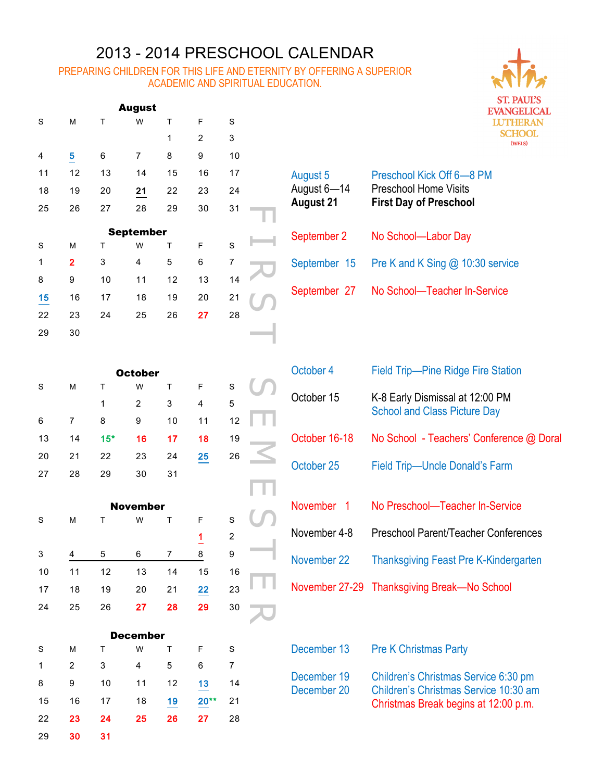## 2013 - 2014 PRESCHOOL CALENDAR

## PREPARING CHILDREN FOR THIS LIFE AND ETERNITY BY OFFERING A SUPERIOR ACADEMIC AND SPIRITUAL EDUCATION.

| <b>August</b> |    |    |    |    |                |    |  |  |
|---------------|----|----|----|----|----------------|----|--|--|
| S             | M  | т  | W  | T  | F              | S  |  |  |
|               |    |    |    | 1  | $\overline{2}$ | 3  |  |  |
| 4             | 5  | 6  | 7  | 8  | 9              | 10 |  |  |
| 11            | 12 | 13 | 14 | 15 | 16             | 17 |  |  |
| 18            | 19 | 20 | 21 | 22 | 23             | 24 |  |  |
| 25            | 26 | 27 | 28 | 29 | 30             | 31 |  |  |

| ∠ວ             | zo                      | $\mathbf{Z}$ ( | ۷Ō                      | ∠ອ | ა∪             | ا ت            |  |
|----------------|-------------------------|----------------|-------------------------|----|----------------|----------------|--|
|                |                         |                | <b>September</b>        |    |                |                |  |
| S              | M                       | T              | W                       | T  | F              | S              |  |
| $\overline{1}$ | $\overline{\mathbf{2}}$ | 3              | $\overline{\mathbf{4}}$ | 5  | 6              | $\overline{7}$ |  |
| 8              | 9                       | 10             | 11                      | 12 | 13             | 14             |  |
| 15             | 16                      | 17             | 18                      | 19 | 20             | 21             |  |
| 22             | 23                      | 24             | 25                      | 26 | 27             | 28             |  |
| 29             | 30                      |                |                         |    |                |                |  |
|                |                         |                |                         |    |                |                |  |
|                |                         |                | <b>October</b>          |    |                |                |  |
| $\rm S$        | M                       | T              | W                       | T  | F              | $\mathbf S$    |  |
|                |                         | 1              | $\overline{c}$          | 3  | 4              | 5              |  |
| 6              | $\overline{7}$          | 8              | 9                       | 10 | 11             | 12             |  |
| 13             | 14                      | $15*$          | 16                      | 17 | 18             | 19             |  |
| 20             | 21                      | 22             | 23                      | 24 | 25             | 26             |  |
| 27             | 28                      | 29             | 30                      | 31 |                |                |  |
|                |                         |                |                         |    |                |                |  |
|                |                         |                | <b>November</b>         |    |                |                |  |
| $\rm S$        | M                       | Τ              | W                       | T  | F              | S              |  |
|                |                         |                |                         |    | $\overline{1}$ | $\overline{c}$ |  |
| 3              | $\overline{\mathbf{4}}$ | 5              | 6                       | 7  | 8              | 9              |  |
| 10             | 11                      | 12             | 13                      | 14 | 15             | 16             |  |
| 17             | 18                      | 19             | 20                      | 21 | 22             | 23             |  |
| 24             | 25                      | 26             | 27                      | 28 | 29             | 30             |  |
|                |                         |                |                         |    |                |                |  |

| August 5<br>August 6-14<br><b>August 21</b> | Preschool Kick Off 6-8 PM<br><b>Preschool Home Visits</b><br><b>First Day of Preschool</b> |
|---------------------------------------------|--------------------------------------------------------------------------------------------|
| September 2                                 | No School-Labor Day                                                                        |
| September 15                                | Pre K and K Sing @ 10:30 service                                                           |
| September 27                                | No School-Teacher In-Service                                                               |

| S  | M  | T     | W  | $\mathsf{T}$ | F  | S  |  |
|----|----|-------|----|--------------|----|----|--|
|    |    | 1     | 2  | 3            | 4  | 5  |  |
| 6  |    | 8     | 9  | 10           | 11 | 12 |  |
| 13 | 14 | $15*$ | 16 | 17           | 18 | 19 |  |
| 20 | 21 | 22    | 23 | 24           | 25 | 26 |  |
| 27 | 28 | 29    | 30 | 31           |    |    |  |

| <b>November</b> |    |    |    |    |    |                |  |  |
|-----------------|----|----|----|----|----|----------------|--|--|
| S               | М  | т  | W  | т  | F  | S              |  |  |
|                 |    |    |    |    | 1  | $\overline{2}$ |  |  |
| 3               | 4  | 5  | 6  | 7  | 8  | 9              |  |  |
| 10              | 11 | 12 | 13 | 14 | 15 | 16             |  |  |
| 17              | 18 | 19 | 20 | 21 | 22 | 23             |  |  |
| 24              | 25 | 26 | 27 | 28 | 29 | 30             |  |  |

| December |    |    |    |    |        |    |  |  |
|----------|----|----|----|----|--------|----|--|--|
| S        | M  | т  | W  | т  | F      | S  |  |  |
| 1        | 2  | 3  | 4  | 5  | 6      |    |  |  |
| 8        | 9  | 10 | 11 | 12 | 13     | 14 |  |  |
| 15       | 16 | 17 | 18 | 19 | $20**$ | 21 |  |  |
| 22       | 23 | 24 | 25 | 26 | 27     | 28 |  |  |
| 29       | 30 | 31 |    |    |        |    |  |  |

| October 4                  | <b>Field Trip-Pine Ridge Fire Station</b>                                                                             |
|----------------------------|-----------------------------------------------------------------------------------------------------------------------|
| October 15                 | K-8 Early Dismissal at 12:00 PM<br><b>School and Class Picture Day</b>                                                |
| October 16-18              | No School - Teachers' Conference @ Doral                                                                              |
| October 25                 | <b>Field Trip-Uncle Donald's Farm</b>                                                                                 |
| November 1                 | No Preschool—Teacher In-Service                                                                                       |
| November 4-8               | <b>Preschool Parent/Teacher Conferences</b>                                                                           |
| November 22                | <b>Thanksgiving Feast Pre K-Kindergarten</b>                                                                          |
| November 27-29             | <b>Thanksgiving Break—No School</b>                                                                                   |
|                            |                                                                                                                       |
| December 13                | <b>Pre K Christmas Party</b>                                                                                          |
| December 19<br>December 20 | Children's Christmas Service 6:30 pm<br>Children's Christmas Service 10:30 am<br>Christmas Break begins at 12:00 p.m. |